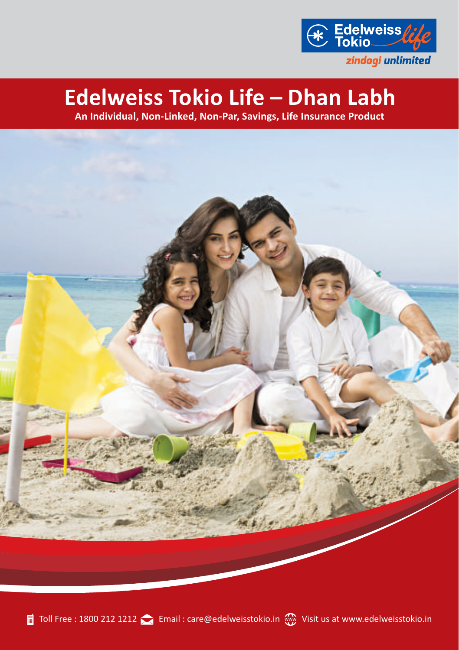

# **Edelweiss Tokio Life – Dhan Labh**

**An Individual, Non-Linked, Non-Par, Savings, Life Insurance Product**

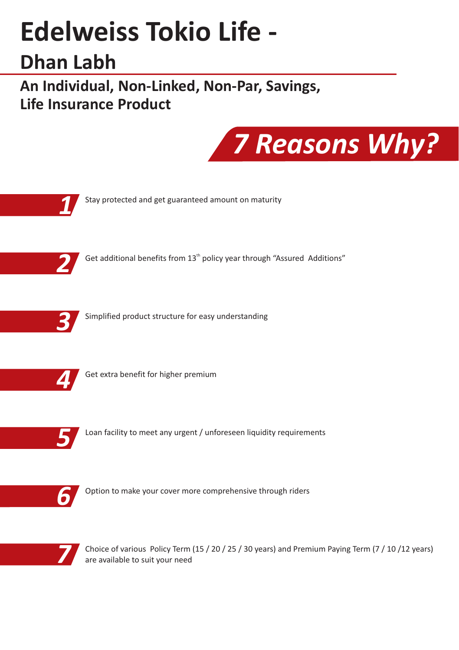# **Edelweiss Tokio Life -**

# **Dhan Labh**

**An Individual, Non-Linked, Non-Par, Savings, Life Insurance Product**





Choice of various Policy Term (15 / 20 / 25 / 30 years) and Premium Paying Term (7 / 10 /12 years) are available to suit your need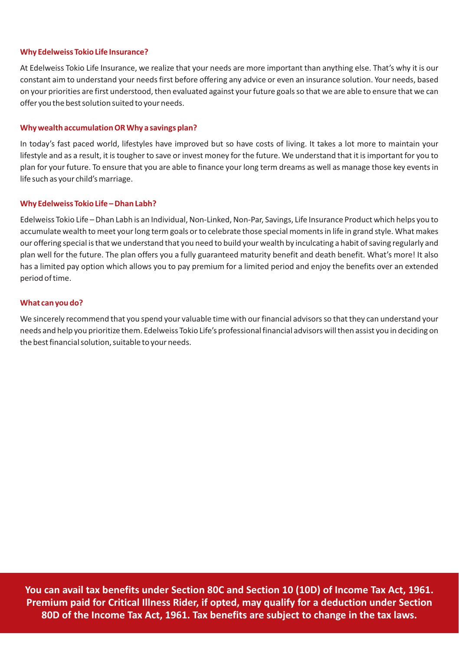#### **Why Edelweiss Tokio Life Insurance?**

At Edelweiss Tokio Life Insurance, we realize that your needs are more important than anything else. That's why it is our constant aim to understand your needs first before offering any advice or even an insurance solution. Your needs, based on your priorities are first understood, then evaluated against your future goals so that we are able to ensure that we can offer you the best solution suited to your needs.

#### **Why wealth accumulation OR Why a savings plan?**

In today's fast paced world, lifestyles have improved but so have costs of living. It takes a lot more to maintain your lifestyle and as a result, it is tougher to save or invest money for the future. We understand that it is important for you to plan for your future. To ensure that you are able to finance your long term dreams as well as manage those key events in life such as your child's marriage.

#### **Why Edelweiss Tokio Life – Dhan Labh?**

Edelweiss Tokio Life – Dhan Labh is an Individual, Non-Linked, Non-Par, Savings, Life Insurance Product which helps you to accumulate wealth to meet your long term goals or to celebrate those special moments in life in grand style. What makes our offering special is that we understand that you need to build your wealth by inculcating a habit of saving regularly and plan well for the future. The plan offers you a fully guaranteed maturity benefit and death benefit. What's more! It also has a limited pay option which allows you to pay premium for a limited period and enjoy the benefits over an extended period of time.

#### **What can you do?**

We sincerely recommend that you spend your valuable time with our financial advisors so that they can understand your needs and help you prioritize them. Edelweiss Tokio Life's professional financial advisors will then assist you in deciding on the best financial solution, suitable to your needs.

**You can avail tax benefits under Section 80C and Section 10 (10D) of Income Tax Act, 1961. Premium paid for Critical Illness Rider, if opted, may qualify for a deduction under Section 80D of the Income Tax Act, 1961. Tax benefits are subject to change in the tax laws.**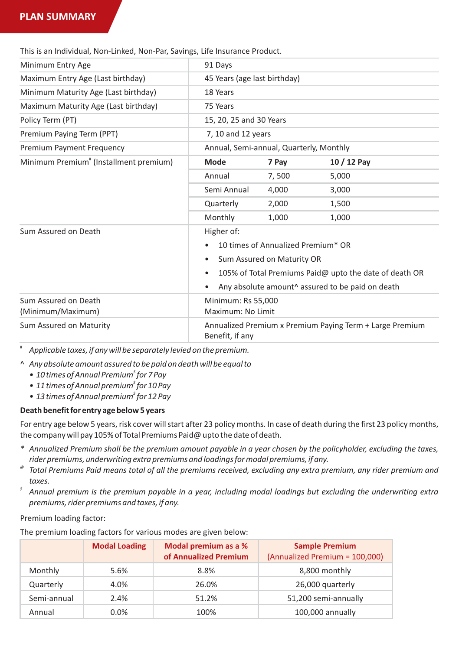# **PLAN SUMMARY**

This is an Individual, Non-Linked, Non-Par, Savings, Life Insurance Product.

| Minimum Entry Age                                  | 91 Days                                                                     |                              |                                                        |  |  |  |
|----------------------------------------------------|-----------------------------------------------------------------------------|------------------------------|--------------------------------------------------------|--|--|--|
| Maximum Entry Age (Last birthday)                  |                                                                             | 45 Years (age last birthday) |                                                        |  |  |  |
| Minimum Maturity Age (Last birthday)               | 18 Years                                                                    |                              |                                                        |  |  |  |
| Maximum Maturity Age (Last birthday)               | 75 Years                                                                    |                              |                                                        |  |  |  |
| Policy Term (PT)                                   | 15, 20, 25 and 30 Years                                                     |                              |                                                        |  |  |  |
| Premium Paying Term (PPT)                          | 7, 10 and 12 years                                                          |                              |                                                        |  |  |  |
| Premium Payment Frequency                          | Annual, Semi-annual, Quarterly, Monthly                                     |                              |                                                        |  |  |  |
| Minimum Premium <sup>#</sup> (Installment premium) | Mode                                                                        | 7 Pay                        | 10 / 12 Pay                                            |  |  |  |
|                                                    | Annual                                                                      | 7,500                        | 5,000                                                  |  |  |  |
|                                                    | Semi Annual                                                                 | 4.000                        | 3,000                                                  |  |  |  |
|                                                    | Quarterly                                                                   | 2,000                        | 1,500                                                  |  |  |  |
|                                                    | Monthly                                                                     | 1,000                        | 1,000                                                  |  |  |  |
| Sum Assured on Death                               | Higher of:                                                                  |                              |                                                        |  |  |  |
|                                                    | 10 times of Annualized Premium* OR                                          |                              |                                                        |  |  |  |
|                                                    | Sum Assured on Maturity OR<br>٠                                             |                              |                                                        |  |  |  |
|                                                    | ٠                                                                           |                              | 105% of Total Premiums Paid@ upto the date of death OR |  |  |  |
|                                                    | Any absolute amount <sup>^</sup> assured to be paid on death<br>٠           |                              |                                                        |  |  |  |
| Sum Assured on Death                               | Minimum: Rs 55,000                                                          |                              |                                                        |  |  |  |
| (Minimum/Maximum)                                  | Maximum: No Limit                                                           |                              |                                                        |  |  |  |
| Sum Assured on Maturity                            | Annualized Premium x Premium Paying Term + Large Premium<br>Benefit, if any |                              |                                                        |  |  |  |

# *Applicable taxes, if any will be separately levied on the premium.*

- ^ *Any absolute amount assured to be paid on death will be equal to* 
	- *\$ • 10 times of Annual Premium for 7 Pay*
	- *• 11 times of Annual premium for 10 Pay \$*
	- *• 13 times of Annual premium for 12 Pay \$*

#### **Death benefit for entry age below 5 years**

For entry age below 5 years, risk cover will start after 23 policy months. In case of death during the first 23 policy months, the company will pay 105% of Total Premiums Paid@ upto the date of death.

- *\* Annualized Premium shall be the premium amount payable in a year chosen by the policyholder, excluding the taxes, rider premiums, underwriting extra premiums and loadings for modal premiums, if any.*
- *@ Total Premiums Paid means total of all the premiums received, excluding any extra premium, any rider premium and taxes.*
- *\$ Annual premium is the premium payable in a year, including modal loadings but excluding the underwriting extra premiums, rider premiums and taxes, if any.*

#### Premium loading factor:

The premium loading factors for various modes are given below:

|             | <b>Modal Loading</b> | Modal premium as a %<br>of Annualized Premium | <b>Sample Premium</b><br>(Annualized Premium = 100,000) |
|-------------|----------------------|-----------------------------------------------|---------------------------------------------------------|
| Monthly     | 5.6%                 | 8.8%                                          | 8,800 monthly                                           |
| Quarterly   | 4.0%                 | 26.0%                                         | 26,000 quarterly                                        |
| Semi-annual | 2.4%                 | 51.2%                                         | 51,200 semi-annually                                    |
| Annual      | $0.0\%$              | 100%                                          | 100,000 annually                                        |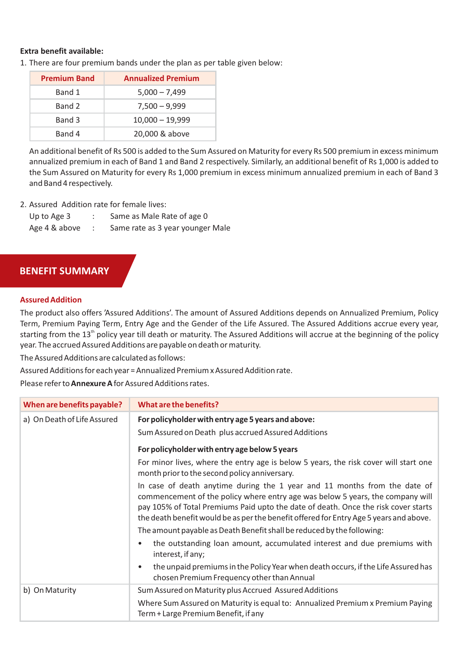#### **Extra benefit available:**

1. There are four premium bands under the plan as per table given below:

| <b>Premium Band</b> | <b>Annualized Premium</b> |
|---------------------|---------------------------|
| Band 1              | $5,000 - 7,499$           |
| Band 2              | $7,500 - 9,999$           |
| Band 3              | $10,000 - 19,999$         |
| Band 4              | 20,000 & above            |

An additional benefit of Rs 500 is added to the Sum Assured on Maturity for every Rs 500 premium in excess minimum annualized premium in each of Band 1 and Band 2 respectively. Similarly, an additional benefit of Rs 1,000 is added to the Sum Assured on Maturity for every Rs 1,000 premium in excess minimum annualized premium in each of Band 3 and Band 4 respectively.

2. Assured, Addition rate for female lives:

| Up to Age 3   | Same as Male Rate of age 0       |
|---------------|----------------------------------|
| Age 4 & above | Same rate as 3 year younger Male |

# **BENEFIT SUMMARY**

#### **Assured Addition**

The product also offers 'Assured Additions'. The amount of Assured Additions depends on Annualized Premium, Policy Term, Premium Paying Term, Entry Age and the Gender of the Life Assured. The Assured Additions accrue every year, starting from the  $13^{\rm th}$  policy year till death or maturity. The Assured Additions will accrue at the beginning of the policy year. The accrued Assured Additions are payable on death or maturity.

The Assured Additions are calculated as follows:

Assured Additions for each year = Annualized Premium x Assured Addition rate.

Please refer to **Annexure A**for Assured Additions rates.

| When are benefits payable?  | What are the benefits?                                                                                                                                                                                                                                                                                                                      |
|-----------------------------|---------------------------------------------------------------------------------------------------------------------------------------------------------------------------------------------------------------------------------------------------------------------------------------------------------------------------------------------|
| a) On Death of Life Assured | For policyholder with entry age 5 years and above:<br>Sum Assured on Death plus accrued Assured Additions                                                                                                                                                                                                                                   |
|                             | For policyholder with entry age below 5 years                                                                                                                                                                                                                                                                                               |
|                             | For minor lives, where the entry age is below 5 years, the risk cover will start one<br>month prior to the second policy anniversary.                                                                                                                                                                                                       |
|                             | In case of death anytime during the 1 year and 11 months from the date of<br>commencement of the policy where entry age was below 5 years, the company will<br>pay 105% of Total Premiums Paid upto the date of death. Once the risk cover starts<br>the death benefit would be as per the benefit offered for Entry Age 5 years and above. |
|                             | The amount payable as Death Benefit shall be reduced by the following:                                                                                                                                                                                                                                                                      |
|                             | the outstanding loan amount, accumulated interest and due premiums with<br>$\bullet$<br>interest, if any;                                                                                                                                                                                                                                   |
|                             | the unpaid premiums in the Policy Year when death occurs, if the Life Assured has<br>$\bullet$<br>chosen Premium Frequency other than Annual                                                                                                                                                                                                |
| b) On Maturity              | Sum Assured on Maturity plus Accrued Assured Additions                                                                                                                                                                                                                                                                                      |
|                             | Where Sum Assured on Maturity is equal to: Annualized Premium x Premium Paying<br>Term + Large Premium Benefit, if any                                                                                                                                                                                                                      |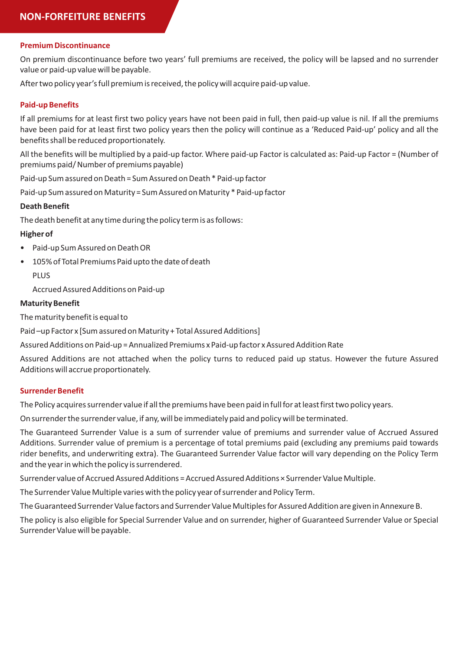#### **Premium Discontinuance**

On premium discontinuance before two years' full premiums are received, the policy will be lapsed and no surrender value or paid-up value will be payable.

After two policy year's full premium is received, the policy will acquire paid-up value.

#### **Paid-up Benefits**

If all premiums for at least first two policy years have not been paid in full, then paid-up value is nil. If all the premiums have been paid for at least first two policy years then the policy will continue as a 'Reduced Paid-up' policy and all the benefits shall be reduced proportionately.

All the benefits will be multiplied by a paid-up factor. Where paid-up Factor is calculated as: Paid-up Factor = (Number of premiums paid/ Number of premiums payable)

Paid-up Sum assured on Death = Sum Assured on Death \* Paid-up factor

Paid-up Sum assured on Maturity = Sum Assured on Maturity \* Paid-up factor

#### **Death Benefit**

The death benefit at any time during the policy term is as follows:

#### **Higher of**

- Paid-up Sum Assured on Death OR
- 105% of Total Premiums Paid upto the date of death PLUS

Accrued Assured Additions on Paid-up

#### **Maturity Benefit**

The maturity benefit is equal to

Paid –up Factor x [Sum assured on Maturity + Total Assured Additions]

Assured Additions on Paid-up = Annualized Premiums x Paid-up factor x Assured Addition Rate

Assured Additions are not attached when the policy turns to reduced paid up status. However the future Assured Additions will accrue proportionately.

#### **Surrender Benefit**

The Policy acquires surrender value if all the premiums have been paid in full for at least first two policy years.

On surrender the surrender value, if any, will be immediately paid and policy will be terminated.

The Guaranteed Surrender Value is a sum of surrender value of premiums and surrender value of Accrued Assured Additions. Surrender value of premium is a percentage of total premiums paid (excluding any premiums paid towards rider benefits, and underwriting extra). The Guaranteed Surrender Value factor will vary depending on the Policy Term and the year in which the policy is surrendered.

Surrender value of Accrued Assured Additions = Accrued Assured Additions × Surrender Value Multiple.

The Surrender Value Multiple varies with the policy year of surrender and Policy Term.

The Guaranteed Surrender Value factors and Surrender Value Multiples for Assured Addition are given in Annexure B.

The policy is also eligible for Special Surrender Value and on surrender, higher of Guaranteed Surrender Value or Special Surrender Value will be payable.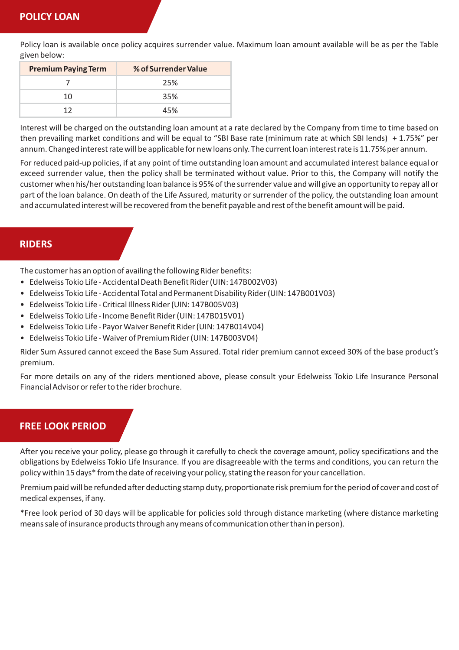Policy loan is available once policy acquires surrender value. Maximum loan amount available will be as per the Table given below:

| <b>Premium Paying Term</b> | % of Surrender Value |
|----------------------------|----------------------|
|                            | 25%                  |
| 10                         | 35%                  |
| าว                         | 45%                  |

Interest will be charged on the outstanding loan amount at a rate declared by the Company from time to time based on then prevailing market conditions and will be equal to "SBI Base rate (minimum rate at which SBI lends) + 1.75%" per annum. Changed interest rate will be applicable for new loans only. The current loan interest rate is 11.75% per annum.

For reduced paid-up policies, if at any point of time outstanding loan amount and accumulated interest balance equal or exceed surrender value, then the policy shall be terminated without value. Prior to this, the Company will notify the customer when his/her outstanding loan balance is 95% of the surrender value and will give an opportunity to repay all or part of the loan balance. On death of the Life Assured, maturity or surrender of the policy, the outstanding loan amount and accumulated interest will be recovered from the benefit payable and rest of the benefit amount will be paid.

# **RIDERS**

The customer has an option of availing the following Rider benefits:

- Edelweiss Tokio Life Accidental Death Benefit Rider (UIN: 147B002V03)
- Edelweiss Tokio Life Accidental Total and Permanent Disability Rider (UIN: 147B001V03)
- Edelweiss Tokio Life Critical Illness Rider (UIN: 147B005V03)
- Edelweiss Tokio Life Income Benefit Rider (UIN: 147B015V01)
- Edelweiss Tokio Life Payor Waiver Benefit Rider (UIN: 147B014V04)
- Edelweiss Tokio Life Waiver of Premium Rider (UIN: 147B003V04)

Rider Sum Assured cannot exceed the Base Sum Assured. Total rider premium cannot exceed 30% of the base product's premium.

For more details on any of the riders mentioned above, please consult your Edelweiss Tokio Life Insurance Personal Financial Advisor or refer to the rider brochure.

# **FREE LOOK PERIOD**

After you receive your policy, please go through it carefully to check the coverage amount, policy specifications and the obligations by Edelweiss Tokio Life Insurance. If you are disagreeable with the terms and conditions, you can return the policy within 15 days\* from the date of receiving your policy, stating the reason for your cancellation.

Premium paid will be refunded after deducting stamp duty, proportionate risk premium for the period of cover and cost of medical expenses, if any.

\*Free look period of 30 days will be applicable for policies sold through distance marketing (where distance marketing means sale of insurance products through any means of communication other than in person).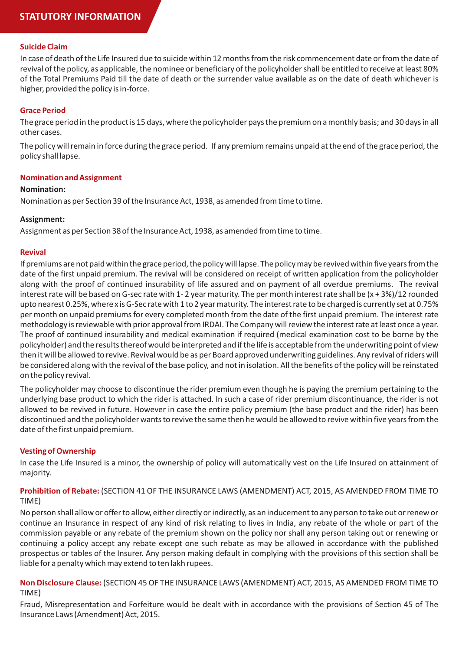# **STATUTORY INFORMATION**

#### **Suicide Claim**

In case of death of the Life Insured due to suicide within 12 months from the risk commencement date or from the date of revival of the policy, as applicable, the nominee or beneficiary of the policyholder shall be entitled to receive at least 80% of the Total Premiums Paid till the date of death or the surrender value available as on the date of death whichever is higher, provided the policy is in-force.

#### **Grace Period**

The grace period in the product is 15 days, where the policyholder pays the premium on a monthly basis; and 30 days in all other cases.

The policy will remain in force during the grace period. If any premium remains unpaid at the end of the grace period, the policy shall lapse.

#### **Nomination and Assignment**

#### **Nomination:**

Nomination as per Section 39 of the Insurance Act, 1938, as amended from time to time.

#### **Assignment:**

Assignment as per Section 38 of the Insurance Act, 1938, as amended from time to time.

#### **Revival**

If premiums are not paid within the grace period, the policy will lapse. The policy may be revived within five years from the date of the first unpaid premium. The revival will be considered on receipt of written application from the policyholder along with the proof of continued insurability of life assured and on payment of all overdue premiums. The revival interest rate will be based on G-sec rate with 1- 2 year maturity. The per month interest rate shall be (x + 3%)/12 rounded upto nearest 0.25%, where x is G-Sec rate with 1 to 2 year maturity. The interest rate to be charged is currently set at 0.75% per month on unpaid premiums for every completed month from the date of the first unpaid premium. The interest rate methodology is reviewable with prior approval from IRDAI. The Company will review the interest rate at least once a year. The proof of continued insurability and medical examination if required (medical examination cost to be borne by the policyholder) and the results thereof would be interpreted and if the life is acceptable from the underwriting point of view then it will be allowed to revive. Revival would be as per Board approved underwriting guidelines. Any revival of riders will be considered along with the revival of the base policy, and not in isolation. All the benefits of the policy will be reinstated on the policy revival.

The policyholder may choose to discontinue the rider premium even though he is paying the premium pertaining to the underlying base product to which the rider is attached. In such a case of rider premium discontinuance, the rider is not allowed to be revived in future. However in case the entire policy premium (the base product and the rider) has been discontinued and the policyholder wants to revive the same then he would be allowed to revive within five years from the date of the first unpaid premium.

#### **Vesting of Ownership**

In case the Life Insured is a minor, the ownership of policy will automatically vest on the Life Insured on attainment of majority.

#### **Prohibition of Rebate:** (SECTION 41 OF THE INSURANCE LAWS (AMENDMENT) ACT, 2015, AS AMENDED FROM TIME TO TIME)

No person shall allow or offer to allow, either directly or indirectly, as an inducement to any person to take out or renew or continue an Insurance in respect of any kind of risk relating to lives in India, any rebate of the whole or part of the commission payable or any rebate of the premium shown on the policy nor shall any person taking out or renewing or continuing a policy accept any rebate except one such rebate as may be allowed in accordance with the published prospectus or tables of the Insurer. Any person making default in complying with the provisions of this section shall be liable for a penalty which may extend to ten lakh rupees.

#### **Non Disclosure Clause:** (SECTION 45 OF THE INSURANCE LAWS (AMENDMENT) ACT, 2015, AS AMENDED FROM TIME TO TIME)

Fraud, Misrepresentation and Forfeiture would be dealt with in accordance with the provisions of Section 45 of The Insurance Laws (Amendment) Act, 2015.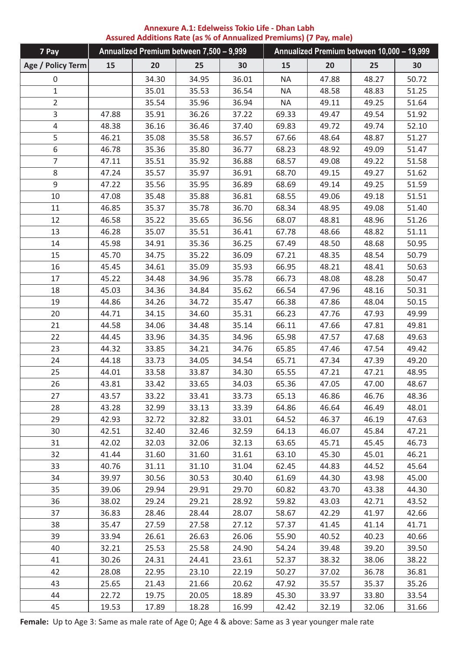| Annexure A.1: Edelweiss Tokio Life - Dhan Labh                     |  |
|--------------------------------------------------------------------|--|
| Assured Additions Rate (as % of Annualized Premiums) (7 Pay, male) |  |

| 7 Pay             |       | Annualized Premium between 7,500 - 9,999 |       |       |           |       | Annualized Premium between 10,000 - 19,999 |       |
|-------------------|-------|------------------------------------------|-------|-------|-----------|-------|--------------------------------------------|-------|
| Age / Policy Term | 15    | 20                                       | 25    | 30    | 15        | 20    | 25                                         | 30    |
| $\mathbf 0$       |       | 34.30                                    | 34.95 | 36.01 | <b>NA</b> | 47.88 | 48.27                                      | 50.72 |
| $\mathbf 1$       |       | 35.01                                    | 35.53 | 36.54 | <b>NA</b> | 48.58 | 48.83                                      | 51.25 |
| $\overline{2}$    |       | 35.54                                    | 35.96 | 36.94 | <b>NA</b> | 49.11 | 49.25                                      | 51.64 |
| 3                 | 47.88 | 35.91                                    | 36.26 | 37.22 | 69.33     | 49.47 | 49.54                                      | 51.92 |
| $\overline{4}$    | 48.38 | 36.16                                    | 36.46 | 37.40 | 69.83     | 49.72 | 49.74                                      | 52.10 |
| 5                 | 46.21 | 35.08                                    | 35.58 | 36.57 | 67.66     | 48.64 | 48.87                                      | 51.27 |
| 6                 | 46.78 | 35.36                                    | 35.80 | 36.77 | 68.23     | 48.92 | 49.09                                      | 51.47 |
| $\overline{7}$    | 47.11 | 35.51                                    | 35.92 | 36.88 | 68.57     | 49.08 | 49.22                                      | 51.58 |
| 8                 | 47.24 | 35.57                                    | 35.97 | 36.91 | 68.70     | 49.15 | 49.27                                      | 51.62 |
| 9                 | 47.22 | 35.56                                    | 35.95 | 36.89 | 68.69     | 49.14 | 49.25                                      | 51.59 |
| 10                | 47.08 | 35.48                                    | 35.88 | 36.81 | 68.55     | 49.06 | 49.18                                      | 51.51 |
| 11                | 46.85 | 35.37                                    | 35.78 | 36.70 | 68.34     | 48.95 | 49.08                                      | 51.40 |
| 12                | 46.58 | 35.22                                    | 35.65 | 36.56 | 68.07     | 48.81 | 48.96                                      | 51.26 |
| 13                | 46.28 | 35.07                                    | 35.51 | 36.41 | 67.78     | 48.66 | 48.82                                      | 51.11 |
| 14                | 45.98 | 34.91                                    | 35.36 | 36.25 | 67.49     | 48.50 | 48.68                                      | 50.95 |
| 15                | 45.70 | 34.75                                    | 35.22 | 36.09 | 67.21     | 48.35 | 48.54                                      | 50.79 |
| 16                | 45.45 | 34.61                                    | 35.09 | 35.93 | 66.95     | 48.21 | 48.41                                      | 50.63 |
| 17                | 45.22 | 34.48                                    | 34.96 | 35.78 | 66.73     | 48.08 | 48.28                                      | 50.47 |
| 18                | 45.03 | 34.36                                    | 34.84 | 35.62 | 66.54     | 47.96 | 48.16                                      | 50.31 |
| 19                | 44.86 | 34.26                                    | 34.72 | 35.47 | 66.38     | 47.86 | 48.04                                      | 50.15 |
| 20                | 44.71 | 34.15                                    | 34.60 | 35.31 | 66.23     | 47.76 | 47.93                                      | 49.99 |
| 21                | 44.58 | 34.06                                    | 34.48 | 35.14 | 66.11     | 47.66 | 47.81                                      | 49.81 |
| 22                | 44.45 | 33.96                                    | 34.35 | 34.96 | 65.98     | 47.57 | 47.68                                      | 49.63 |
| 23                | 44.32 | 33.85                                    | 34.21 | 34.76 | 65.85     | 47.46 | 47.54                                      | 49.42 |
| 24                | 44.18 | 33.73                                    | 34.05 | 34.54 | 65.71     | 47.34 | 47.39                                      | 49.20 |
| 25                | 44.01 | 33.58                                    | 33.87 | 34.30 | 65.55     | 47.21 | 47.21                                      | 48.95 |
| 26                | 43.81 | 33.42                                    | 33.65 | 34.03 | 65.36     | 47.05 | 47.00                                      | 48.67 |
| 27                | 43.57 | 33.22                                    | 33.41 | 33.73 | 65.13     | 46.86 | 46.76                                      | 48.36 |
| 28                | 43.28 | 32.99                                    | 33.13 | 33.39 | 64.86     | 46.64 | 46.49                                      | 48.01 |
| 29                | 42.93 | 32.72                                    | 32.82 | 33.01 | 64.52     | 46.37 | 46.19                                      | 47.63 |
| 30                | 42.51 | 32.40                                    | 32.46 | 32.59 | 64.13     | 46.07 | 45.84                                      | 47.21 |
| 31                | 42.02 | 32.03                                    | 32.06 | 32.13 | 63.65     | 45.71 | 45.45                                      | 46.73 |
| 32                | 41.44 | 31.60                                    | 31.60 | 31.61 | 63.10     | 45.30 | 45.01                                      | 46.21 |
| 33                | 40.76 | 31.11                                    | 31.10 | 31.04 | 62.45     | 44.83 | 44.52                                      | 45.64 |
| 34                | 39.97 | 30.56                                    | 30.53 | 30.40 | 61.69     | 44.30 | 43.98                                      | 45.00 |
| 35                | 39.06 | 29.94                                    | 29.91 | 29.70 | 60.82     | 43.70 | 43.38                                      | 44.30 |
| 36                | 38.02 | 29.24                                    | 29.21 | 28.92 | 59.82     | 43.03 | 42.71                                      | 43.52 |
| 37                | 36.83 | 28.46                                    | 28.44 | 28.07 | 58.67     | 42.29 | 41.97                                      | 42.66 |
| 38                | 35.47 | 27.59                                    | 27.58 | 27.12 | 57.37     | 41.45 | 41.14                                      | 41.71 |
| 39                | 33.94 | 26.61                                    | 26.63 | 26.06 | 55.90     | 40.52 | 40.23                                      | 40.66 |
| 40                | 32.21 | 25.53                                    | 25.58 | 24.90 | 54.24     | 39.48 | 39.20                                      | 39.50 |
| 41                | 30.26 | 24.31                                    | 24.41 | 23.61 | 52.37     | 38.32 | 38.06                                      | 38.22 |
| 42                | 28.08 | 22.95                                    | 23.10 | 22.19 | 50.27     | 37.02 | 36.78                                      | 36.81 |
| 43                | 25.65 | 21.43                                    | 21.66 | 20.62 | 47.92     | 35.57 | 35.37                                      | 35.26 |
| 44                | 22.72 | 19.75                                    | 20.05 | 18.89 | 45.30     | 33.97 | 33.80                                      | 33.54 |
| 45                | 19.53 | 17.89                                    | 18.28 | 16.99 | 42.42     | 32.19 | 32.06                                      | 31.66 |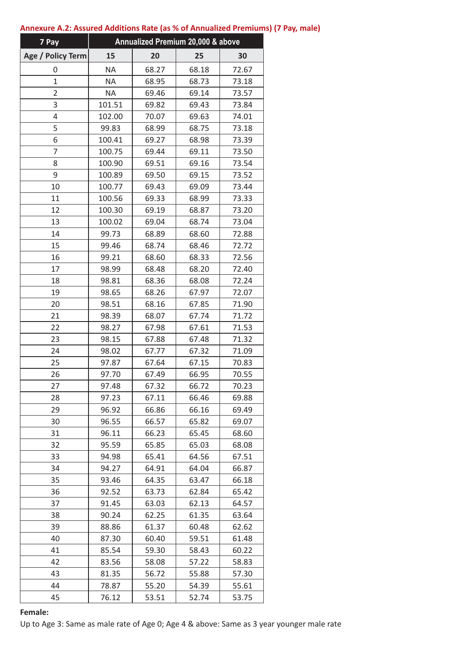| 7 Pay             |           | Annualized Premium 20,000 & above |       |       |
|-------------------|-----------|-----------------------------------|-------|-------|
| Age / Policy Term | 15        | 20                                | 25    | 30    |
| 0                 | <b>NA</b> | 68.27                             | 68.18 | 72.67 |
| $\mathbf{1}$      | <b>NA</b> | 68.95                             | 68.73 | 73.18 |
| 2                 | <b>NA</b> | 69.46                             | 69.14 | 73.57 |
| 3                 | 101.51    | 69.82                             | 69.43 | 73.84 |
| 4                 | 102.00    | 70.07                             | 69.63 | 74.01 |
| 5                 | 99.83     | 68.99                             | 68.75 | 73.18 |
| 6                 | 100.41    | 69.27                             | 68.98 | 73.39 |
| 7                 | 100.75    | 69.44                             | 69.11 | 73.50 |
| 8                 | 100.90    | 69.51                             | 69.16 | 73.54 |
| 9                 | 100.89    | 69.50                             | 69.15 | 73.52 |
| 10                | 100.77    | 69.43                             | 69.09 | 73.44 |
| 11                | 100.56    | 69.33                             | 68.99 | 73.33 |
| 12                | 100.30    | 69.19                             | 68.87 | 73.20 |
| 13                | 100.02    | 69.04                             | 68.74 | 73.04 |
| 14                | 99.73     | 68.89                             | 68.60 | 72.88 |
| 15                | 99.46     | 68.74                             | 68.46 | 72.72 |
| 16                | 99.21     | 68.60                             | 68.33 | 72.56 |
| 17                | 98.99     | 68.48                             | 68.20 | 72.40 |
| 18                | 98.81     | 68.36                             | 68.08 | 72.24 |
| 19                | 98.65     | 68.26                             | 67.97 | 72.07 |
| 20                | 98.51     | 68.16                             | 67.85 | 71.90 |
| 21                | 98.39     | 68.07                             | 67.74 | 71.72 |
| 22                | 98.27     | 67.98                             | 67.61 | 71.53 |
| 23                | 98.15     | 67.88                             | 67.48 | 71.32 |
| 24                | 98.02     | 67.77                             | 67.32 | 71.09 |
| 25                | 97.87     | 67.64                             | 67.15 | 70.83 |
| 26                | 97.70     | 67.49                             | 66.95 | 70.55 |
| 27                | 97.48     | 67.32                             | 66.72 | 70.23 |
| 28                | 97.23     | 67.11                             | 66.46 | 69.88 |
| 29                | 96.92     | 66.86                             | 66.16 | 69.49 |
| 30                | 96.55     | 66.57                             | 65.82 | 69.07 |
| 31                | 96.11     | 66.23                             | 65.45 | 68.60 |
| 32                | 95.59     | 65.85                             | 65.03 | 68.08 |
| 33                | 94.98     | 65.41                             | 64.56 | 67.51 |
| 34                | 94.27     | 64.91                             | 64.04 | 66.87 |
| 35                | 93.46     | 64.35                             | 63.47 | 66.18 |
| 36                | 92.52     | 63.73                             | 62.84 | 65.42 |
| 37                | 91.45     | 63.03                             | 62.13 | 64.57 |
| 38                | 90.24     | 62.25                             | 61.35 | 63.64 |
| 39                | 88.86     | 61.37                             | 60.48 | 62.62 |
| 40                | 87.30     | 60.40                             | 59.51 | 61.48 |
| 41                | 85.54     | 59.30                             | 58.43 | 60.22 |
| 42                | 83.56     | 58.08                             | 57.22 | 58.83 |
| 43                | 81.35     | 56.72                             | 55.88 | 57.30 |
| 44                | 78.87     | 55.20                             | 54.39 | 55.61 |
| 45                | 76.12     | 53.51                             | 52.74 | 53.75 |

#### **Annexure A.2: Assured Additions Rate (as % of Annualized Premiums) (7 Pay, male)**

#### **Female:**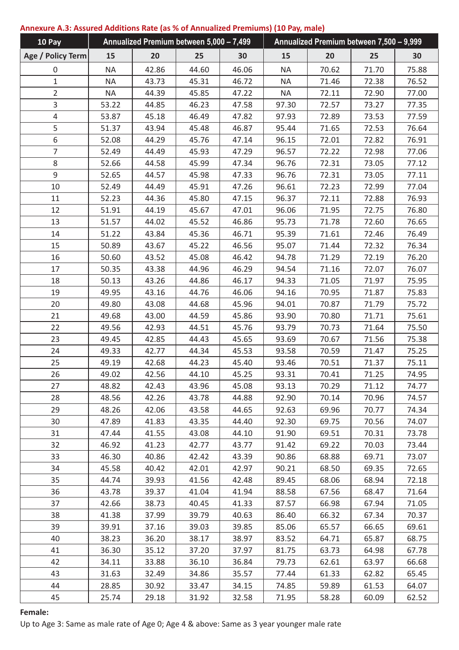# **Annexure A.3: Assured Additions Rate (as % of Annualized Premiums) (10 Pay, male)**

| 10 Pay            | Annualized Premium between 5,000 - 7,499 |       |       | Annualized Premium between 7,500 - 9,999 |           |       |       |       |
|-------------------|------------------------------------------|-------|-------|------------------------------------------|-----------|-------|-------|-------|
| Age / Policy Term | 15                                       | 20    | 25    | 30                                       | 15        | 20    | 25    | 30    |
| 0                 | <b>NA</b>                                | 42.86 | 44.60 | 46.06                                    | <b>NA</b> | 70.62 | 71.70 | 75.88 |
| $\mathbf{1}$      | <b>NA</b>                                | 43.73 | 45.31 | 46.72                                    | <b>NA</b> | 71.46 | 72.38 | 76.52 |
| $\overline{2}$    | <b>NA</b>                                | 44.39 | 45.85 | 47.22                                    | <b>NA</b> | 72.11 | 72.90 | 77.00 |
| 3                 | 53.22                                    | 44.85 | 46.23 | 47.58                                    | 97.30     | 72.57 | 73.27 | 77.35 |
| 4                 | 53.87                                    | 45.18 | 46.49 | 47.82                                    | 97.93     | 72.89 | 73.53 | 77.59 |
| 5                 | 51.37                                    | 43.94 | 45.48 | 46.87                                    | 95.44     | 71.65 | 72.53 | 76.64 |
| 6                 | 52.08                                    | 44.29 | 45.76 | 47.14                                    | 96.15     | 72.01 | 72.82 | 76.91 |
| 7                 | 52.49                                    | 44.49 | 45.93 | 47.29                                    | 96.57     | 72.22 | 72.98 | 77.06 |
| 8                 | 52.66                                    | 44.58 | 45.99 | 47.34                                    | 96.76     | 72.31 | 73.05 | 77.12 |
| 9                 | 52.65                                    | 44.57 | 45.98 | 47.33                                    | 96.76     | 72.31 | 73.05 | 77.11 |
| 10                | 52.49                                    | 44.49 | 45.91 | 47.26                                    | 96.61     | 72.23 | 72.99 | 77.04 |
| 11                | 52.23                                    | 44.36 | 45.80 | 47.15                                    | 96.37     | 72.11 | 72.88 | 76.93 |
| 12                | 51.91                                    | 44.19 | 45.67 | 47.01                                    | 96.06     | 71.95 | 72.75 | 76.80 |
| 13                | 51.57                                    | 44.02 | 45.52 | 46.86                                    | 95.73     | 71.78 | 72.60 | 76.65 |
| 14                | 51.22                                    | 43.84 | 45.36 | 46.71                                    | 95.39     | 71.61 | 72.46 | 76.49 |
| 15                | 50.89                                    | 43.67 | 45.22 | 46.56                                    | 95.07     | 71.44 | 72.32 | 76.34 |
| 16                | 50.60                                    | 43.52 | 45.08 | 46.42                                    | 94.78     | 71.29 | 72.19 | 76.20 |
| 17                | 50.35                                    | 43.38 | 44.96 | 46.29                                    | 94.54     | 71.16 | 72.07 | 76.07 |
| 18                | 50.13                                    | 43.26 | 44.86 | 46.17                                    | 94.33     | 71.05 | 71.97 | 75.95 |
| 19                | 49.95                                    | 43.16 | 44.76 | 46.06                                    | 94.16     | 70.95 | 71.87 | 75.83 |
| 20                | 49.80                                    | 43.08 | 44.68 | 45.96                                    | 94.01     | 70.87 | 71.79 | 75.72 |
| 21                | 49.68                                    | 43.00 | 44.59 | 45.86                                    | 93.90     | 70.80 | 71.71 | 75.61 |
| 22                | 49.56                                    | 42.93 | 44.51 | 45.76                                    | 93.79     | 70.73 | 71.64 | 75.50 |
| 23                | 49.45                                    | 42.85 | 44.43 | 45.65                                    | 93.69     | 70.67 | 71.56 | 75.38 |
| 24                | 49.33                                    | 42.77 | 44.34 | 45.53                                    | 93.58     | 70.59 | 71.47 | 75.25 |
| 25                | 49.19                                    | 42.68 | 44.23 | 45.40                                    | 93.46     | 70.51 | 71.37 | 75.11 |
| 26                | 49.02                                    | 42.56 | 44.10 | 45.25                                    | 93.31     | 70.41 | 71.25 | 74.95 |
| 27                | 48.82                                    | 42.43 | 43.96 | 45.08                                    | 93.13     | 70.29 | 71.12 | 74.77 |
| 28                | 48.56                                    | 42.26 | 43.78 | 44.88                                    | 92.90     | 70.14 | 70.96 | 74.57 |
| 29                | 48.26                                    | 42.06 | 43.58 | 44.65                                    | 92.63     | 69.96 | 70.77 | 74.34 |
| 30                | 47.89                                    | 41.83 | 43.35 | 44.40                                    | 92.30     | 69.75 | 70.56 | 74.07 |
| 31                | 47.44                                    | 41.55 | 43.08 | 44.10                                    | 91.90     | 69.51 | 70.31 | 73.78 |
| 32                | 46.92                                    | 41.23 | 42.77 | 43.77                                    | 91.42     | 69.22 | 70.03 | 73.44 |
| 33                | 46.30                                    | 40.86 | 42.42 | 43.39                                    | 90.86     | 68.88 | 69.71 | 73.07 |
| 34                | 45.58                                    | 40.42 | 42.01 | 42.97                                    | 90.21     | 68.50 | 69.35 | 72.65 |
| 35                | 44.74                                    | 39.93 | 41.56 | 42.48                                    | 89.45     | 68.06 | 68.94 | 72.18 |
| 36                | 43.78                                    | 39.37 | 41.04 | 41.94                                    | 88.58     | 67.56 | 68.47 | 71.64 |
| 37                | 42.66                                    | 38.73 | 40.45 | 41.33                                    | 87.57     | 66.98 | 67.94 | 71.05 |
| 38                | 41.38                                    | 37.99 | 39.79 | 40.63                                    | 86.40     | 66.32 | 67.34 | 70.37 |
| 39                | 39.91                                    | 37.16 | 39.03 | 39.85                                    | 85.06     | 65.57 | 66.65 | 69.61 |
| 40                | 38.23                                    | 36.20 | 38.17 | 38.97                                    | 83.52     | 64.71 | 65.87 | 68.75 |
| 41                | 36.30                                    | 35.12 | 37.20 | 37.97                                    | 81.75     | 63.73 | 64.98 | 67.78 |
| 42                | 34.11                                    | 33.88 | 36.10 | 36.84                                    | 79.73     | 62.61 | 63.97 | 66.68 |
| 43                | 31.63                                    | 32.49 | 34.86 | 35.57                                    | 77.44     | 61.33 | 62.82 | 65.45 |
| 44                | 28.85                                    | 30.92 | 33.47 | 34.15                                    | 74.85     | 59.89 | 61.53 | 64.07 |
| 45                | 25.74                                    | 29.18 | 31.92 | 32.58                                    | 71.95     | 58.28 | 60.09 | 62.52 |

# **Female:**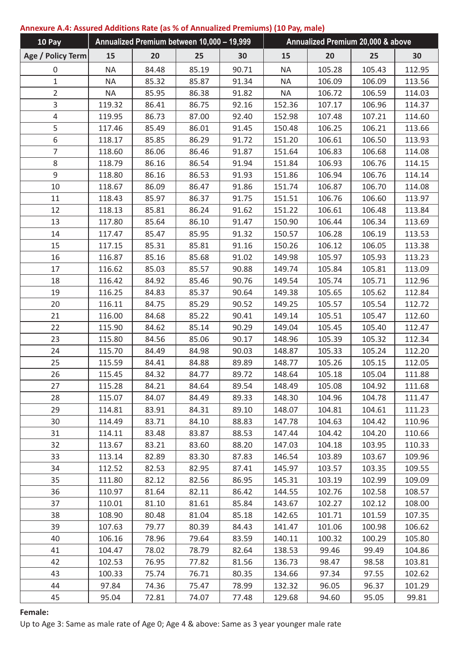# **Annexure A.4: Assured Additions Rate (as % of Annualized Premiums) (10 Pay, male)**

| 10 Pay            | Annualized Premium between 10,000 - 19,999 |       |       | Annualized Premium 20,000 & above |           |        |        |        |
|-------------------|--------------------------------------------|-------|-------|-----------------------------------|-----------|--------|--------|--------|
| Age / Policy Term | 15                                         | 20    | 25    | 30                                | 15        | 20     | 25     | 30     |
| 0                 | <b>NA</b>                                  | 84.48 | 85.19 | 90.71                             | <b>NA</b> | 105.28 | 105.43 | 112.95 |
| $\mathbf 1$       | <b>NA</b>                                  | 85.32 | 85.87 | 91.34                             | <b>NA</b> | 106.09 | 106.09 | 113.56 |
| $\overline{2}$    | <b>NA</b>                                  | 85.95 | 86.38 | 91.82                             | <b>NA</b> | 106.72 | 106.59 | 114.03 |
| 3                 | 119.32                                     | 86.41 | 86.75 | 92.16                             | 152.36    | 107.17 | 106.96 | 114.37 |
| 4                 | 119.95                                     | 86.73 | 87.00 | 92.40                             | 152.98    | 107.48 | 107.21 | 114.60 |
| 5                 | 117.46                                     | 85.49 | 86.01 | 91.45                             | 150.48    | 106.25 | 106.21 | 113.66 |
| 6                 | 118.17                                     | 85.85 | 86.29 | 91.72                             | 151.20    | 106.61 | 106.50 | 113.93 |
| 7                 | 118.60                                     | 86.06 | 86.46 | 91.87                             | 151.64    | 106.83 | 106.68 | 114.08 |
| 8                 | 118.79                                     | 86.16 | 86.54 | 91.94                             | 151.84    | 106.93 | 106.76 | 114.15 |
| 9                 | 118.80                                     | 86.16 | 86.53 | 91.93                             | 151.86    | 106.94 | 106.76 | 114.14 |
| 10                | 118.67                                     | 86.09 | 86.47 | 91.86                             | 151.74    | 106.87 | 106.70 | 114.08 |
| 11                | 118.43                                     | 85.97 | 86.37 | 91.75                             | 151.51    | 106.76 | 106.60 | 113.97 |
| 12                | 118.13                                     | 85.81 | 86.24 | 91.62                             | 151.22    | 106.61 | 106.48 | 113.84 |
| 13                | 117.80                                     | 85.64 | 86.10 | 91.47                             | 150.90    | 106.44 | 106.34 | 113.69 |
| 14                | 117.47                                     | 85.47 | 85.95 | 91.32                             | 150.57    | 106.28 | 106.19 | 113.53 |
| 15                | 117.15                                     | 85.31 | 85.81 | 91.16                             | 150.26    | 106.12 | 106.05 | 113.38 |
| 16                | 116.87                                     | 85.16 | 85.68 | 91.02                             | 149.98    | 105.97 | 105.93 | 113.23 |
| 17                | 116.62                                     | 85.03 | 85.57 | 90.88                             | 149.74    | 105.84 | 105.81 | 113.09 |
| 18                | 116.42                                     | 84.92 | 85.46 | 90.76                             | 149.54    | 105.74 | 105.71 | 112.96 |
| 19                | 116.25                                     | 84.83 | 85.37 | 90.64                             | 149.38    | 105.65 | 105.62 | 112.84 |
| 20                | 116.11                                     | 84.75 | 85.29 | 90.52                             | 149.25    | 105.57 | 105.54 | 112.72 |
| 21                | 116.00                                     | 84.68 | 85.22 | 90.41                             | 149.14    | 105.51 | 105.47 | 112.60 |
| 22                | 115.90                                     | 84.62 | 85.14 | 90.29                             | 149.04    | 105.45 | 105.40 | 112.47 |
| 23                | 115.80                                     | 84.56 | 85.06 | 90.17                             | 148.96    | 105.39 | 105.32 | 112.34 |
| 24                | 115.70                                     | 84.49 | 84.98 | 90.03                             | 148.87    | 105.33 | 105.24 | 112.20 |
| 25                | 115.59                                     | 84.41 | 84.88 | 89.89                             | 148.77    | 105.26 | 105.15 | 112.05 |
| 26                | 115.45                                     | 84.32 | 84.77 | 89.72                             | 148.64    | 105.18 | 105.04 | 111.88 |
| 27                | 115.28                                     | 84.21 | 84.64 | 89.54                             | 148.49    | 105.08 | 104.92 | 111.68 |
| 28                | 115.07                                     | 84.07 | 84.49 | 89.33                             | 148.30    | 104.96 | 104.78 | 111.47 |
| 29                | 114.81                                     | 83.91 | 84.31 | 89.10                             | 148.07    | 104.81 | 104.61 | 111.23 |
| 30                | 114.49                                     | 83.71 | 84.10 | 88.83                             | 147.78    | 104.63 | 104.42 | 110.96 |
| 31                | 114.11                                     | 83.48 | 83.87 | 88.53                             | 147.44    | 104.42 | 104.20 | 110.66 |
| 32                | 113.67                                     | 83.21 | 83.60 | 88.20                             | 147.03    | 104.18 | 103.95 | 110.33 |
| 33                | 113.14                                     | 82.89 | 83.30 | 87.83                             | 146.54    | 103.89 | 103.67 | 109.96 |
| 34                | 112.52                                     | 82.53 | 82.95 | 87.41                             | 145.97    | 103.57 | 103.35 | 109.55 |
| 35                | 111.80                                     | 82.12 | 82.56 | 86.95                             | 145.31    | 103.19 | 102.99 | 109.09 |
| 36                | 110.97                                     | 81.64 | 82.11 | 86.42                             | 144.55    | 102.76 | 102.58 | 108.57 |
| 37                | 110.01                                     | 81.10 | 81.61 | 85.84                             | 143.67    | 102.27 | 102.12 | 108.00 |
| 38                | 108.90                                     | 80.48 | 81.04 | 85.18                             | 142.65    | 101.71 | 101.59 | 107.35 |
| 39                | 107.63                                     | 79.77 | 80.39 | 84.43                             | 141.47    | 101.06 | 100.98 | 106.62 |
| 40                | 106.16                                     | 78.96 | 79.64 | 83.59                             | 140.11    | 100.32 | 100.29 | 105.80 |
| 41                | 104.47                                     | 78.02 | 78.79 | 82.64                             | 138.53    | 99.46  | 99.49  | 104.86 |
| 42                | 102.53                                     | 76.95 | 77.82 | 81.56                             | 136.73    | 98.47  | 98.58  | 103.81 |
| 43                | 100.33                                     | 75.74 | 76.71 | 80.35                             | 134.66    | 97.34  | 97.55  | 102.62 |
| 44                | 97.84                                      | 74.36 | 75.47 | 78.99                             | 132.32    | 96.05  | 96.37  | 101.29 |
| 45                | 95.04                                      | 72.81 | 74.07 | 77.48                             | 129.68    | 94.60  | 95.05  | 99.81  |

## **Female:**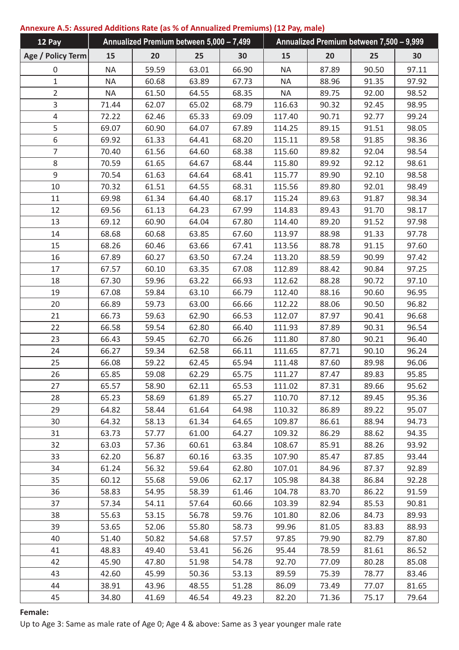# **Annexure A.5: Assured Additions Rate (as % of Annualized Premiums) (12 Pay, male)**

| 12 Pay            | Annualized Premium between 5,000 - 7,499 |       |       | Annualized Premium between 7,500 - 9,999 |           |       |       |       |
|-------------------|------------------------------------------|-------|-------|------------------------------------------|-----------|-------|-------|-------|
| Age / Policy Term | 15                                       | 20    | 25    | 30                                       | 15        | 20    | 25    | 30    |
| 0                 | <b>NA</b>                                | 59.59 | 63.01 | 66.90                                    | <b>NA</b> | 87.89 | 90.50 | 97.11 |
| $\mathbf{1}$      | <b>NA</b>                                | 60.68 | 63.89 | 67.73                                    | <b>NA</b> | 88.96 | 91.35 | 97.92 |
| $\overline{2}$    | <b>NA</b>                                | 61.50 | 64.55 | 68.35                                    | <b>NA</b> | 89.75 | 92.00 | 98.52 |
| 3                 | 71.44                                    | 62.07 | 65.02 | 68.79                                    | 116.63    | 90.32 | 92.45 | 98.95 |
| $\overline{4}$    | 72.22                                    | 62.46 | 65.33 | 69.09                                    | 117.40    | 90.71 | 92.77 | 99.24 |
| 5                 | 69.07                                    | 60.90 | 64.07 | 67.89                                    | 114.25    | 89.15 | 91.51 | 98.05 |
| 6                 | 69.92                                    | 61.33 | 64.41 | 68.20                                    | 115.11    | 89.58 | 91.85 | 98.36 |
| $\overline{7}$    | 70.40                                    | 61.56 | 64.60 | 68.38                                    | 115.60    | 89.82 | 92.04 | 98.54 |
| 8                 | 70.59                                    | 61.65 | 64.67 | 68.44                                    | 115.80    | 89.92 | 92.12 | 98.61 |
| 9                 | 70.54                                    | 61.63 | 64.64 | 68.41                                    | 115.77    | 89.90 | 92.10 | 98.58 |
| 10                | 70.32                                    | 61.51 | 64.55 | 68.31                                    | 115.56    | 89.80 | 92.01 | 98.49 |
| 11                | 69.98                                    | 61.34 | 64.40 | 68.17                                    | 115.24    | 89.63 | 91.87 | 98.34 |
| 12                | 69.56                                    | 61.13 | 64.23 | 67.99                                    | 114.83    | 89.43 | 91.70 | 98.17 |
| 13                | 69.12                                    | 60.90 | 64.04 | 67.80                                    | 114.40    | 89.20 | 91.52 | 97.98 |
| 14                | 68.68                                    | 60.68 | 63.85 | 67.60                                    | 113.97    | 88.98 | 91.33 | 97.78 |
| 15                | 68.26                                    | 60.46 | 63.66 | 67.41                                    | 113.56    | 88.78 | 91.15 | 97.60 |
| 16                | 67.89                                    | 60.27 | 63.50 | 67.24                                    | 113.20    | 88.59 | 90.99 | 97.42 |
| 17                | 67.57                                    | 60.10 | 63.35 | 67.08                                    | 112.89    | 88.42 | 90.84 | 97.25 |
| 18                | 67.30                                    | 59.96 | 63.22 | 66.93                                    | 112.62    | 88.28 | 90.72 | 97.10 |
| 19                | 67.08                                    | 59.84 | 63.10 | 66.79                                    | 112.40    | 88.16 | 90.60 | 96.95 |
| 20                | 66.89                                    | 59.73 | 63.00 | 66.66                                    | 112.22    | 88.06 | 90.50 | 96.82 |
| 21                | 66.73                                    | 59.63 | 62.90 | 66.53                                    | 112.07    | 87.97 | 90.41 | 96.68 |
| 22                | 66.58                                    | 59.54 | 62.80 | 66.40                                    | 111.93    | 87.89 | 90.31 | 96.54 |
| 23                | 66.43                                    | 59.45 | 62.70 | 66.26                                    | 111.80    | 87.80 | 90.21 | 96.40 |
| 24                | 66.27                                    | 59.34 | 62.58 | 66.11                                    | 111.65    | 87.71 | 90.10 | 96.24 |
| 25                | 66.08                                    | 59.22 | 62.45 | 65.94                                    | 111.48    | 87.60 | 89.98 | 96.06 |
| 26                | 65.85                                    | 59.08 | 62.29 | 65.75                                    | 111.27    | 87.47 | 89.83 | 95.85 |
| 27                | 65.57                                    | 58.90 | 62.11 | 65.53                                    | 111.02    | 87.31 | 89.66 | 95.62 |
| 28                | 65.23                                    | 58.69 | 61.89 | 65.27                                    | 110.70    | 87.12 | 89.45 | 95.36 |
| 29                | 64.82                                    | 58.44 | 61.64 | 64.98                                    | 110.32    | 86.89 | 89.22 | 95.07 |
| 30                | 64.32                                    | 58.13 | 61.34 | 64.65                                    | 109.87    | 86.61 | 88.94 | 94.73 |
| 31                | 63.73                                    | 57.77 | 61.00 | 64.27                                    | 109.32    | 86.29 | 88.62 | 94.35 |
| 32                | 63.03                                    | 57.36 | 60.61 | 63.84                                    | 108.67    | 85.91 | 88.26 | 93.92 |
| 33                | 62.20                                    | 56.87 | 60.16 | 63.35                                    | 107.90    | 85.47 | 87.85 | 93.44 |
| 34                | 61.24                                    | 56.32 | 59.64 | 62.80                                    | 107.01    | 84.96 | 87.37 | 92.89 |
| 35                | 60.12                                    | 55.68 | 59.06 | 62.17                                    | 105.98    | 84.38 | 86.84 | 92.28 |
| 36                | 58.83                                    | 54.95 | 58.39 | 61.46                                    | 104.78    | 83.70 | 86.22 | 91.59 |
| 37                | 57.34                                    | 54.11 | 57.64 | 60.66                                    | 103.39    | 82.94 | 85.53 | 90.81 |
| 38                | 55.63                                    | 53.15 | 56.78 | 59.76                                    | 101.80    | 82.06 | 84.73 | 89.93 |
| 39                | 53.65                                    | 52.06 | 55.80 | 58.73                                    | 99.96     | 81.05 | 83.83 | 88.93 |
| 40                | 51.40                                    | 50.82 | 54.68 | 57.57                                    | 97.85     | 79.90 | 82.79 | 87.80 |
| 41                | 48.83                                    | 49.40 | 53.41 | 56.26                                    | 95.44     | 78.59 | 81.61 | 86.52 |
| 42                | 45.90                                    | 47.80 | 51.98 | 54.78                                    | 92.70     | 77.09 | 80.28 | 85.08 |
| 43                | 42.60                                    | 45.99 | 50.36 | 53.13                                    | 89.59     | 75.39 | 78.77 | 83.46 |
| 44                | 38.91                                    | 43.96 | 48.55 | 51.28                                    | 86.09     | 73.49 | 77.07 | 81.65 |
| 45                | 34.80                                    | 41.69 | 46.54 | 49.23                                    | 82.20     | 71.36 | 75.17 | 79.64 |

## **Female:**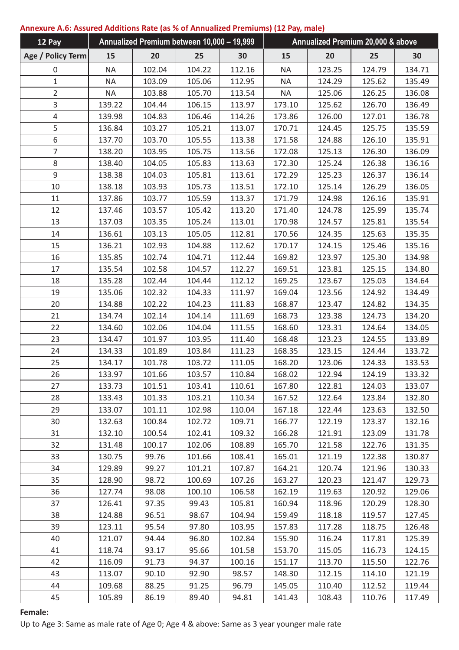# **Annexure A.6: Assured Additions Rate (as % of Annualized Premiums) (12 Pay, male)**

| 12 Pay            | Annualized Premium between 10,000 - 19,999 |        |        |        | Annualized Premium 20,000 & above |        |        |        |
|-------------------|--------------------------------------------|--------|--------|--------|-----------------------------------|--------|--------|--------|
| Age / Policy Term | 15                                         | 20     | 25     | 30     | 15                                | 20     | 25     | 30     |
| 0                 | <b>NA</b>                                  | 102.04 | 104.22 | 112.16 | <b>NA</b>                         | 123.25 | 124.79 | 134.71 |
| $\mathbf 1$       | <b>NA</b>                                  | 103.09 | 105.06 | 112.95 | <b>NA</b>                         | 124.29 | 125.62 | 135.49 |
| $\overline{2}$    | <b>NA</b>                                  | 103.88 | 105.70 | 113.54 | <b>NA</b>                         | 125.06 | 126.25 | 136.08 |
| 3                 | 139.22                                     | 104.44 | 106.15 | 113.97 | 173.10                            | 125.62 | 126.70 | 136.49 |
| 4                 | 139.98                                     | 104.83 | 106.46 | 114.26 | 173.86                            | 126.00 | 127.01 | 136.78 |
| 5                 | 136.84                                     | 103.27 | 105.21 | 113.07 | 170.71                            | 124.45 | 125.75 | 135.59 |
| 6                 | 137.70                                     | 103.70 | 105.55 | 113.38 | 171.58                            | 124.88 | 126.10 | 135.91 |
| 7                 | 138.20                                     | 103.95 | 105.75 | 113.56 | 172.08                            | 125.13 | 126.30 | 136.09 |
| 8                 | 138.40                                     | 104.05 | 105.83 | 113.63 | 172.30                            | 125.24 | 126.38 | 136.16 |
| 9                 | 138.38                                     | 104.03 | 105.81 | 113.61 | 172.29                            | 125.23 | 126.37 | 136.14 |
| 10                | 138.18                                     | 103.93 | 105.73 | 113.51 | 172.10                            | 125.14 | 126.29 | 136.05 |
| 11                | 137.86                                     | 103.77 | 105.59 | 113.37 | 171.79                            | 124.98 | 126.16 | 135.91 |
| 12                | 137.46                                     | 103.57 | 105.42 | 113.20 | 171.40                            | 124.78 | 125.99 | 135.74 |
| 13                | 137.03                                     | 103.35 | 105.24 | 113.01 | 170.98                            | 124.57 | 125.81 | 135.54 |
| 14                | 136.61                                     | 103.13 | 105.05 | 112.81 | 170.56                            | 124.35 | 125.63 | 135.35 |
| 15                | 136.21                                     | 102.93 | 104.88 | 112.62 | 170.17                            | 124.15 | 125.46 | 135.16 |
| 16                | 135.85                                     | 102.74 | 104.71 | 112.44 | 169.82                            | 123.97 | 125.30 | 134.98 |
| 17                | 135.54                                     | 102.58 | 104.57 | 112.27 | 169.51                            | 123.81 | 125.15 | 134.80 |
| 18                | 135.28                                     | 102.44 | 104.44 | 112.12 | 169.25                            | 123.67 | 125.03 | 134.64 |
| 19                | 135.06                                     | 102.32 | 104.33 | 111.97 | 169.04                            | 123.56 | 124.92 | 134.49 |
| 20                | 134.88                                     | 102.22 | 104.23 | 111.83 | 168.87                            | 123.47 | 124.82 | 134.35 |
| 21                | 134.74                                     | 102.14 | 104.14 | 111.69 | 168.73                            | 123.38 | 124.73 | 134.20 |
| 22                | 134.60                                     | 102.06 | 104.04 | 111.55 | 168.60                            | 123.31 | 124.64 | 134.05 |
| 23                | 134.47                                     | 101.97 | 103.95 | 111.40 | 168.48                            | 123.23 | 124.55 | 133.89 |
| 24                | 134.33                                     | 101.89 | 103.84 | 111.23 | 168.35                            | 123.15 | 124.44 | 133.72 |
| 25                | 134.17                                     | 101.78 | 103.72 | 111.05 | 168.20                            | 123.06 | 124.33 | 133.53 |
| 26                | 133.97                                     | 101.66 | 103.57 | 110.84 | 168.02                            | 122.94 | 124.19 | 133.32 |
| 27                | 133.73                                     | 101.51 | 103.41 | 110.61 | 167.80                            | 122.81 | 124.03 | 133.07 |
| 28                | 133.43                                     | 101.33 | 103.21 | 110.34 | 167.52                            | 122.64 | 123.84 | 132.80 |
| 29                | 133.07                                     | 101.11 | 102.98 | 110.04 | 167.18                            | 122.44 | 123.63 | 132.50 |
| 30                | 132.63                                     | 100.84 | 102.72 | 109.71 | 166.77                            | 122.19 | 123.37 | 132.16 |
| 31                | 132.10                                     | 100.54 | 102.41 | 109.32 | 166.28                            | 121.91 | 123.09 | 131.78 |
| 32                | 131.48                                     | 100.17 | 102.06 | 108.89 | 165.70                            | 121.58 | 122.76 | 131.35 |
| 33                | 130.75                                     | 99.76  | 101.66 | 108.41 | 165.01                            | 121.19 | 122.38 | 130.87 |
| 34                | 129.89                                     | 99.27  | 101.21 | 107.87 | 164.21                            | 120.74 | 121.96 | 130.33 |
| 35                | 128.90                                     | 98.72  | 100.69 | 107.26 | 163.27                            | 120.23 | 121.47 | 129.73 |
| 36                | 127.74                                     | 98.08  | 100.10 | 106.58 | 162.19                            | 119.63 | 120.92 | 129.06 |
| 37                | 126.41                                     | 97.35  | 99.43  | 105.81 | 160.94                            | 118.96 | 120.29 | 128.30 |
| 38                | 124.88                                     | 96.51  | 98.67  | 104.94 | 159.49                            | 118.18 | 119.57 | 127.45 |
| 39                | 123.11                                     | 95.54  | 97.80  | 103.95 | 157.83                            | 117.28 | 118.75 | 126.48 |
| 40                | 121.07                                     | 94.44  | 96.80  | 102.84 | 155.90                            | 116.24 | 117.81 | 125.39 |
| 41                | 118.74                                     | 93.17  | 95.66  | 101.58 | 153.70                            | 115.05 | 116.73 | 124.15 |
| 42                | 116.09                                     | 91.73  | 94.37  | 100.16 | 151.17                            | 113.70 | 115.50 | 122.76 |
| 43                | 113.07                                     | 90.10  | 92.90  | 98.57  | 148.30                            | 112.15 | 114.10 | 121.19 |
| 44                | 109.68                                     | 88.25  | 91.25  | 96.79  | 145.05                            | 110.40 | 112.52 | 119.44 |
| 45                | 105.89                                     | 86.19  | 89.40  | 94.81  | 141.43                            | 108.43 | 110.76 | 117.49 |

## **Female:**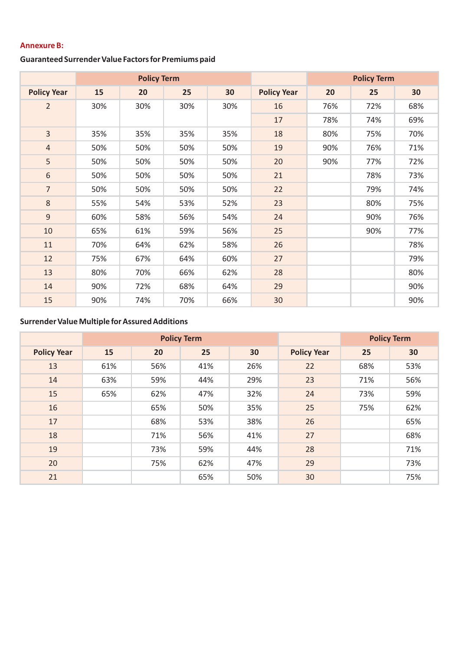# **Annexure B:**

# **Guaranteed Surrender Value Factors for Premiums paid**

|                    | <b>Policy Term</b> |     |     |     |                    | <b>Policy Term</b> |     |     |
|--------------------|--------------------|-----|-----|-----|--------------------|--------------------|-----|-----|
| <b>Policy Year</b> | 15                 | 20  | 25  | 30  | <b>Policy Year</b> | 20                 | 25  | 30  |
| $\overline{2}$     | 30%                | 30% | 30% | 30% | 16                 | 76%                | 72% | 68% |
|                    |                    |     |     |     | 17                 | 78%                | 74% | 69% |
| 3                  | 35%                | 35% | 35% | 35% | 18                 | 80%                | 75% | 70% |
| $\overline{4}$     | 50%                | 50% | 50% | 50% | 19                 | 90%                | 76% | 71% |
| 5                  | 50%                | 50% | 50% | 50% | 20                 | 90%                | 77% | 72% |
| 6                  | 50%                | 50% | 50% | 50% | 21                 |                    | 78% | 73% |
| $\overline{7}$     | 50%                | 50% | 50% | 50% | 22                 |                    | 79% | 74% |
| $\,8\,$            | 55%                | 54% | 53% | 52% | 23                 |                    | 80% | 75% |
| 9                  | 60%                | 58% | 56% | 54% | 24                 |                    | 90% | 76% |
| 10                 | 65%                | 61% | 59% | 56% | 25                 |                    | 90% | 77% |
| 11                 | 70%                | 64% | 62% | 58% | 26                 |                    |     | 78% |
| 12                 | 75%                | 67% | 64% | 60% | 27                 |                    |     | 79% |
| 13                 | 80%                | 70% | 66% | 62% | 28                 |                    |     | 80% |
| 14                 | 90%                | 72% | 68% | 64% | 29                 |                    |     | 90% |
| 15                 | 90%                | 74% | 70% | 66% | 30                 |                    |     | 90% |

# **Surrender Value Multiple for Assured Additions**

|                    | <b>Policy Term</b> |     |     |     |                    | <b>Policy Term</b> |     |
|--------------------|--------------------|-----|-----|-----|--------------------|--------------------|-----|
| <b>Policy Year</b> | 15                 | 20  | 25  | 30  | <b>Policy Year</b> | 25                 | 30  |
| 13                 | 61%                | 56% | 41% | 26% | 22                 | 68%                | 53% |
| 14                 | 63%                | 59% | 44% | 29% | 23                 | 71%                | 56% |
| 15                 | 65%                | 62% | 47% | 32% | 24                 | 73%                | 59% |
| 16                 |                    | 65% | 50% | 35% | 25                 | 75%                | 62% |
| 17                 |                    | 68% | 53% | 38% | 26                 |                    | 65% |
| 18                 |                    | 71% | 56% | 41% | 27                 |                    | 68% |
| 19                 |                    | 73% | 59% | 44% | 28                 |                    | 71% |
| 20                 |                    | 75% | 62% | 47% | 29                 |                    | 73% |
| 21                 |                    |     | 65% | 50% | 30                 |                    | 75% |